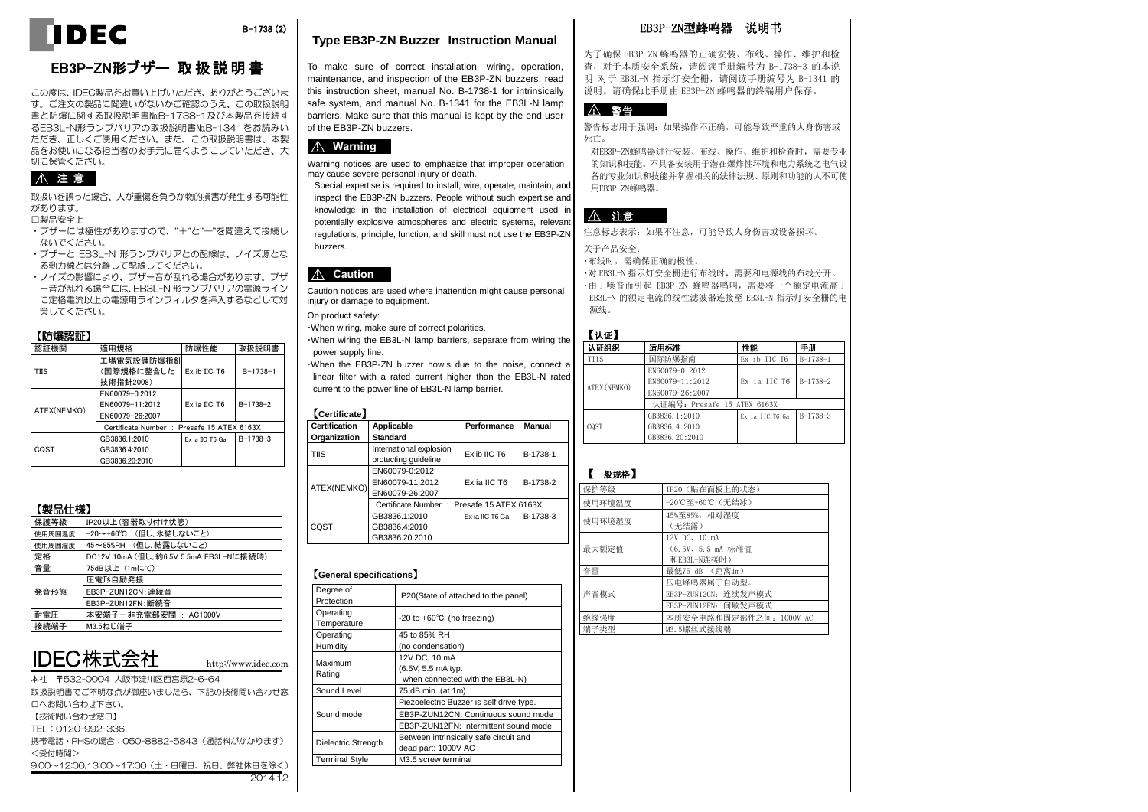

### B-1738 (2)

#### **Type EB3P-ZN Buzzer Instruction Manual**

To make sure of correct installation, wiring, operation, maintenance, and inspection of the EB3P-ZN buzzers, read this instruction sheet, manual No. B-1738-1 for intrinsically safe system, and manual No. B-1341 for the EB3L-N lamp barriers. Make sure that this manual is kept by the end user of the EB3P-ZN buzzers.



Warning notices are used to emphasize that improper operation may cause severe personal injury or death.

Special expertise is required to install, wire, operate, maintain, and inspect the EB3P-ZN buzzers. People without such expertise and knowledge in the installation of electrical equipment used in potentially explosive atmospheres and electric systems, relevant regulations, principle, function, and skill must not use the EB3P-ZN buzzers.



Caution notices are used where inattention might cause personal injury or damage to equipment.

On product safety:

・When wiring, make sure of correct polarities.

・When wiring the EB3L-N lamp barriers, separate from wiring the power supply line.

・When the EB3P-ZN buzzer howls due to the noise, connect a linear filter with a rated current higher than the EB3L-N rated current to the power line of EB3L-N lamp barrier.

#### 【**Certificate**】

| <b>Certification</b><br>Organization | Applicable<br><b>Standard</b>                        | Performance     | Manual   |
|--------------------------------------|------------------------------------------------------|-----------------|----------|
| <b>TIIS</b>                          | International explosion<br>protecting guideline      | Ex ib IIC T6    | B-1738-1 |
| ATEX(NEMKO)                          | EN60079-0:2012<br>EN60079-11:2012<br>EN60079-26:2007 | Ex ia IIC T6    | B-1738-2 |
|                                      | Certificate Number: Presafe 15 ATEX 6163X            |                 |          |
| CQST                                 | GB3836.1:2010<br>GB3836.4:2010<br>GB3836.20:2010     | Ex ia IIC T6 Ga | B-1738-3 |

#### 【**General specifications**】

| , oonorar opoomoaaono 1  |                                          |
|--------------------------|------------------------------------------|
| Degree of<br>Protection  | IP20(State of attached to the panel)     |
| Operating<br>Temperature | $-20$ to $+60^{\circ}$ C (no freezing)   |
| Operating                | 45 to 85% RH                             |
| Humidity                 | (no condensation)                        |
| Maximum                  | 12V DC, 10 mA                            |
| Rating                   | (6.5V, 5.5 mA typ.                       |
|                          | when connected with the EB3L-N)          |
| Sound Level              | 75 dB min. (at 1m)                       |
|                          | Piezoelectric Buzzer is self drive type. |
| Sound mode               | EB3P-ZUN12CN: Continuous sound mode      |
|                          | EB3P-ZUN12FN: Intermittent sound mode    |
| Dielectric Strength      | Between intrinsically safe circuit and   |
|                          | dead part: 1000V AC                      |
| <b>Terminal Style</b>    | M3.5 screw terminal                      |
|                          |                                          |

## EB3P-ZN型蜂鸣器 说明书

为了确保 EB3P-ZN 蜂鸣器的正确安装、布线、操作、维护和检 查,对于本质安全系统,请阅读手册编号为 B-1738-3 的本说 明 对于 EB3L-N 指示灯安全栅, 请阅读手册编号为 B-1341 的 说明。请确保此手册由 EB3P-ZN 蜂鸣器的终端用户保存。

## ! 警告

警告标志用于强调:如果操作不正确,可能导致严重的人身伤害或 死亡。

对EB3P-ZN蜂鸣器进行安装、布线、操作、维护和检查时,需要专业 的知识和技能。不具备安装用于潜在爆炸性环境和电力系统之电气设 备的专业知识和技能并掌握相关的法律法规、原则和功能的人不可使 用EB3P-ZN蜂鸣器。

### 八 注意

注意标志表示:如果不注意,可能导致人身伤害或设备损坏。

#### 关于产品安全:

・布线时,需确保正确的极性。

・对 EB3L-N 指示灯安全栅进行布线时,需要和电源线的布线分开。 ・由于噪音而引起 EB3P-ZN 蜂鸣器鸣叫,需要将一个额定电流高于 EB3L-N 的额定电流的线性滤波器连接至 EB3L-N 指示灯安全栅的电 源线。

| t.<br>п. | чh. |  |
|----------|-----|--|

| 认证组织         | 适用标准                        | 性能                    | 手册         |
|--------------|-----------------------------|-----------------------|------------|
| TITS         | 国际防爆指南                      | Ex ib IIC T6          | $B-1738-1$ |
|              | EN60079-0:2012              |                       |            |
| ATEX (NEMKO) | EN60079-11:2012             | Ex ia IIC T6 B-1738-2 |            |
|              | EN60079-26:2007             |                       |            |
|              | 认证编号: Presafe 15 ATEX 6163X |                       |            |
|              | GB3836, 1:2010              | Ex ia IIC T6 Ga       | $B-1738-3$ |
| CQST         | GB3836, 4:2010              |                       |            |
|              | GB3836, 20:2010             |                       |            |

#### 【一般规格】

| 保护等级   | IP20 (贴在面板上的状态)                                             |
|--------|-------------------------------------------------------------|
| 使用环境温度 | -20℃至+60℃ (无结冰)                                             |
| 使用环境湿度 | 45%至85%, 相对湿度<br>(无结露)                                      |
| 最大额定值  | 12V DC, 10 mA<br>(6.5V、5.5 mA 标准值<br>和EB3L-N连接时)            |
| 音量     | 最低75 dB (距离1m)                                              |
| 声音模式   | 压电蜂鸣器属于自动型。<br>EB3P-ZUN12CN: 连续发声模式<br>EB3P-ZUN12FN: 间歇发声模式 |
| 绝缘强度   | 本质安全电路和固定部件之间: 1000V AC                                     |
| 端子类型   | M3.5螺丝式接线端                                                  |

・ブザーには極性がありますので、"+"と"―"を間違えて接続し ないでください。

切に保管ください。

! 注 意

があります。 □製品安全上

・ブザーと EB3L-N 形ランプバリアとの配線は、ノイズ源とな る動力線とは分離して配線してください。

取扱いを誤った場合、人が重傷を負うか物的損害が発生する可能性

EB3P-ZN形ブザー 取 扱 説 明 書 この度は、IDEC製品をお買い上げいただき、ありがとうございま す。ご注文の製品に間違いがないかご確認のうえ、この取扱説明 書と防爆に関する取扱説明書№B-1738-1及び本製品を接続す るEB3L-N形ランプバリアの取扱説明書№B-1341をお読みい ただき、正しくご使用ください。また、この取扱説明書は、本製 品をお使いになる担当者のお手元に届くようにしていただき、大

・ノイズの影響により、ブザー音が乱れる場合があります。ブザ ー音が乱れる場合には、EB3L-N 形ランプバリアの電源ライン に定格電流以上の電源用ラインフィルタを挿入するなどして対 策してください。

#### 【防爆認証】

| 認証機関        | 適用規格                                      | 防爆性能            | 取扱説明書          |
|-------------|-------------------------------------------|-----------------|----------------|
|             | 工場電気設備防爆指針                                |                 |                |
| <b>TIIS</b> | (国際規格に整合した                                | Ex ib IIC T6    | $B - 1738 - 1$ |
|             | 技術指針2008)                                 |                 |                |
|             | EN60079-0:2012                            |                 |                |
| ATEX(NEMKO) | EN60079-11:2012                           | Ex ia IIC T6    | $B-1738-2$     |
|             | EN60079-26:2007                           |                 |                |
|             | Certificate Number: Presafe 15 ATEX 6163X |                 |                |
|             | GB3836.1:2010                             | Ex ia IIC T6 Ga | $B-1738-3$     |
| COST        | GB3836.4:2010                             |                 |                |
|             | GB3836.20:2010                            |                 |                |

定格 DC12V 10mA (但し、約6.5V 5.5mA EB3L-Nに接続時)

| 【製品仕様】 |  |
|--------|--|
|--------|--|

発音形態

| DEC株式会社 |  |
|---------|--|
|         |  |
|         |  |
|         |  |

圧電形自励発振 EB3P-ZUN12CN:連続音 EB3P-ZUN12FN:断続音 耐電圧 本安端子-非充電部安間 : AC1000V

保護等級 IP20以上(容器取り付け状態) 使用周囲温度 -20~+60℃ (但し、氷結しないこと) 使用周囲湿度 45~85%RH (但し、結露しないこと)

音量 75dB以上 (1mにて)

|接続端子 M3.5ねじ端子

本社 〒532-0004 大阪市淀川区西宮原2-6-64 取扱説明書でご不明な点が御座いましたら、下記の技術問い合わせ窓 口へお問い合わせ下さい。 【技術問い合わせ窓口】 TEL:0120-992-336 携帯電話・PHSの場合:050-8882-5843(通話料がかかります) <受付時間> 9:00~12:00,13:00~17:00 (土・日曜日、祝日、弊社休日を除く) 2014.12

http://www.idec.com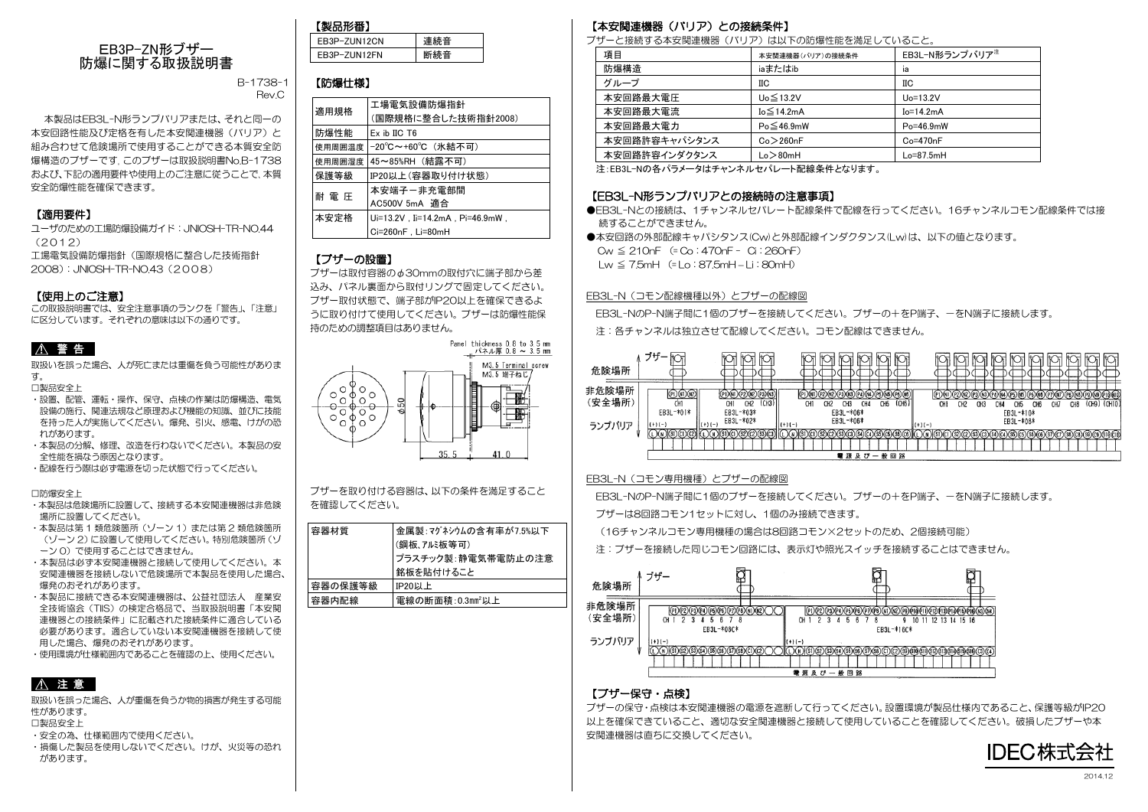

B-1738-1 Rev.C

本製品はEB3L-N形ランプバリアまたは、それと同一の 本安回路性能及び定格を有した本安関連機器(バリア)と 組み合わせて危険場所で使用することができる本質安全防 爆構造のブザーです。このブザーは取扱説明書No.B-1738 および、下記の適用要件や使用上のご注意に従うことで、本質 安全防爆性能を確保できます。

### 【適用要件】

ユーザのための工場防爆設備ガイド:JNIOSH-TR-NO.44  $(2012)$ 

工場電気設備防爆指針(国際規格に整合した技術指針 2008):JNIOSH-TR-NO.43(2008)

#### 【使用上のご注意】

この取扱説明書では、安全注意事項のランクを「警告」、「注意」 に区分しています。それぞれの意味は以下の通りです。

## ■ 个 警 告 ■

取扱いを誤った場合、人が死亡または重傷を負う可能性がありま す。

□製品安全上

- ・設置、配管、運転・操作、保守、点検の作業は防爆構造、電気 設備の施行、関連法規など原理および機能の知識、並びに技能 を持った人が実施してください。爆発、引火、感電、けがの恐 れがあります。
- ・本製品の分解、修理、改造を行わないでください。本製品の安 全性能を損なう原因となります。
- ・配線を行う際は必ず電源を切った状態で行ってください。

#### □防爆安全上

- ・本製品は危険場所に設置して、接続する本安関連機器は非危険 場所に設置してください。
- ・本製品は第 1 類危険箇所(ゾーン 1)または第 2 類危険箇所 (ゾーン2)に設置して使用してください。特別危険箇所(ゾ ーン 0)で使用することはできません。
- ・本製品は必ず本安関連機器と接続して使用してください。本 安関連機器を接続しないで危険場所で本製品を使用した場合、 爆発のおそれがあります。
- ・本製品に接続できる本安関連機器は、公益社団法人 産業安 全技術協会(TIIS)の検定合格品で、当取扱説明書「本安関 連機器との接続条件」に記載された接続条件に適合している 必要があります。適合していない本安関連機器を接続して使 用した場合、爆発のおそれがあります。
- ・使用環境が仕様範囲内であることを確認の上、使用ください。

## ! 注 意

取扱いを誤った場合、人が重傷を負うか物的損害が発生する可能 性があります。

- □製品安全上
- ・安全の為、仕様範囲内で使用ください。
- ・損傷した製品を使用しないでください。けが、火災等の恐れ があります。

| もん (者)       |     |
|--------------|-----|
| FR3P-7UN12CN | 連続音 |
| FR3P-7UN12FN |     |

### 【防爆仕様】

| 適用規格   | 工場電気設備防爆指針                        |
|--------|-----------------------------------|
|        | (国際規格に整合した技術指針2008)               |
| 防爆性能   | $Ex$ ib IIC $T6$                  |
| 使用周囲温度 | -20℃~+60℃ (氷結不可)                  |
| 使用周囲湿度 | 45~85%RH(結露不可)                    |
| 保護等級   | IP20以上(容器取り付け状態)                  |
| 耐 電 圧  | 本安端子-非充雷部間                        |
|        | AC500V 5mA 適合                     |
| 本安定格   | Ui=13.2V . Ii=14.2mA . Pi=46.9mW. |
|        | Ci=260nF, Li=80mH                 |

#### 【ブザーの設置】

ブザーは取付容器の あ30mmの取付穴に端子部から差 込み、パネル裏面から取付リングで固定してください。 ブザー取付状態で、端子部がIP20以上を確保できるよ うに取り付けて使用してください。ブザーは防爆性能保 持のための調整項目はありません。



ブザーを取り付ける容器は、以下の条件を満足すること を確認してください。

| 容器材質    | 金属製: マグネシウムの含有率が7.5%以下 |
|---------|------------------------|
|         | (鋼板、アルミ板等可)            |
|         | プラスチック製:静電気帯電防止の注意     |
|         | 銘板を貼付けること              |
| 容器の保護等級 | <b>IP20以上</b>          |
| 容器内配線   | 電線の断面積:0.3mm2以上        |

### 【本安関連機器(バリア)との接続条件】

ブザーと接続する本安関連機器(バリア)は以下の防爆性能を満足していること。

| 項目            | 本安関連機器(バリア)の接続条件 | EB3L-N形ランプバリア <sup>注</sup> |
|---------------|------------------|----------------------------|
| 防爆構造          | iaまたはib          | ia                         |
| グループ          | IIС              | IІC                        |
| 本安回路最大電圧      | Uo≦13.2V         | $Uo=13.2V$                 |
| 本安回路最大電流      | $Io \leq 14.2mA$ | $Io=14.2mA$                |
| 本安回路最大電力      | $Po \leq 46.9mW$ | Po=46.9mW                  |
| 本安回路許容キャパシタンス | Co > 260nF       | $Co=470nF$                 |
| 本安回路許容インダクタンス | Lo > 80mH        | $Lo=87.5mH$                |
|               |                  |                            |

注:EB3L-Nの各パラメータはチャンネルセパレート配線条件となります。

### 【EB3L-N形ランプバリアとの接続時の注意事項】

●EB3L-Nとの接続は、1チャンネルセパレート配線条件で配線を行ってください。16チャンネルコモン配線条件では接 続することができません。

●本安回路の外部配線キャパシタンス(Cw)と外部配線インダクタンス(Lw)は、以下の値となります。

Cw ≦ 210nF (= Co:470nF - Ci:260nF)

 $L_{\text{W}} \leq 75$ mH (= Lo:875mH – Li:80mH)

#### EB3L-N (コモン配線機種以外)とブザーの配線図

FR3L-NのP-N端子間に1個のブザーを接続してください。ブザーの+をP端子、一をN端子に接続します。

注:各チャンネルは独立させて配線してください。コモン配線はできません。

| 危険場所            |                  |          |                  |                 |       |          |     |                 |  |                  |     |                 |       |          |            |                 |     |     |           |    |                 |     |                 |  |                 |  |
|-----------------|------------------|----------|------------------|-----------------|-------|----------|-----|-----------------|--|------------------|-----|-----------------|-------|----------|------------|-----------------|-----|-----|-----------|----|-----------------|-----|-----------------|--|-----------------|--|
| 非危険場所<br>(安全場所) | CH1<br>EB3L-*01* |          | CHI<br>EB3L-*03* | CH <sub>2</sub> | (CH3) |          | CH1 | CH <sub>2</sub> |  | CH3<br>EB3L-*06* | CH4 | CH <sub>5</sub> | (CH6) |          | <b>CHI</b> | CH <sub>2</sub> | CH3 | CH4 | EB3L-*10* | сњ | CH <sub>6</sub> | CH7 | CH <sub>8</sub> |  | (CH9) (CH10)    |  |
| ランプバリア          | $(+)(-)$         | $(+)(-)$ | EB3L-*02*        |                 |       | $(+)(-)$ |     |                 |  | EB3L-*06*        |     |                 |       | $(+)(-)$ |            |                 |     |     | EB3L-*08* |    |                 |     |                 |  | )(C9)(S10)(C10) |  |
|                 |                  |          |                  |                 |       |          |     |                 |  |                  |     | 電源及び一般回路        |       |          |            |                 |     |     |           |    |                 |     |                 |  |                 |  |

### FB3L-N (コモン専用機種) とブザーの配線図

EB3L-NのP-N端子間に1個のブザーを接続してください。ブザーの+をP端子、ーをN端子に接続します。 ブザーは8回路コモン1セットに対し、1個のみ接続できます。

(16チャンネルコモン専用機種の場合は8回路コモン×2セットのため、2個接続可能)

注:ブザーを接続した同じコモン回路には、表示灯や照光スイッチを接続することはできません。



### 【ブザー保守・点検】

ブザーの保守・点検は本安関連機器の電源を遮断して行ってください。設置環境が製品仕様内であること、保護等級がIP20 以上を確保できていること、適切な安全関連機器と接続して使用していることを確認してください。破損したブザーや本 安関連機器は直ちに交換してください。

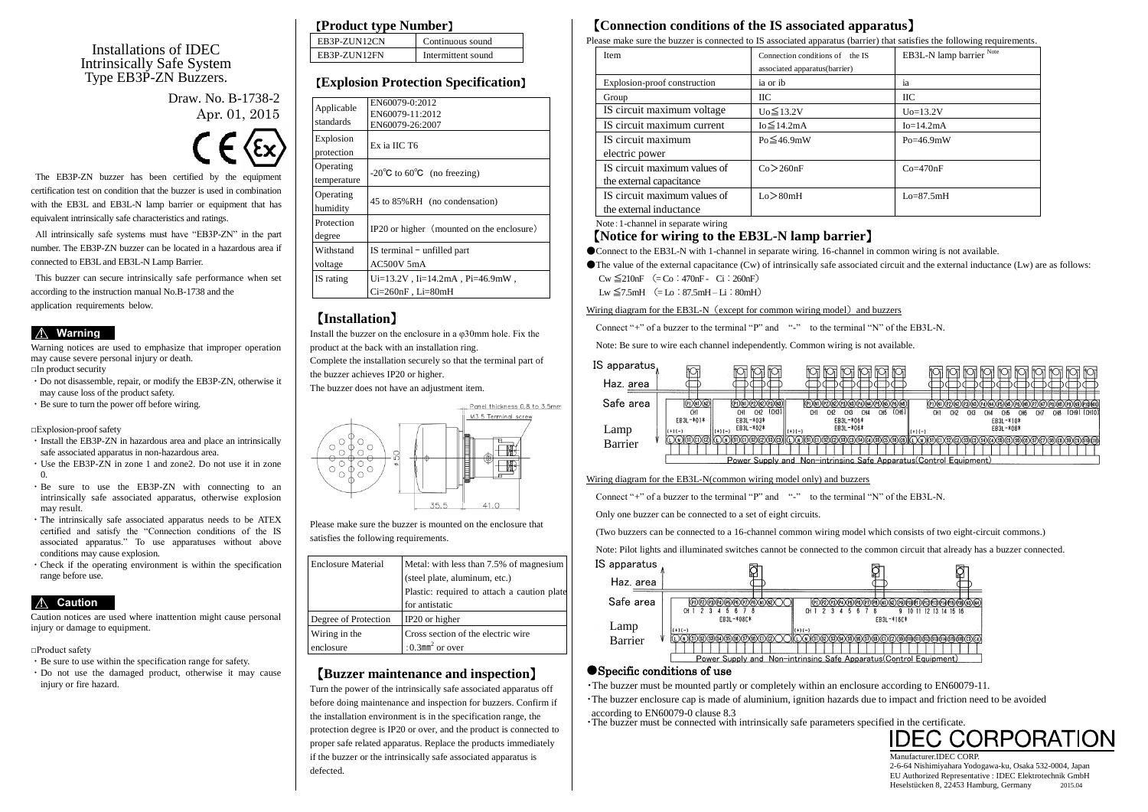### Installations of IDEC Intrinsically Safe System Type EB3P-ZN Buzzers.

Draw. No. B-1738-2 Apr. 01, 2015



The EB3P-ZN buzzer has been certified by the equipment certification test on condition that the buzzer is used in combination with the EB3L and EB3L-N lamp barrier or equipment that has equivalent intrinsically safe characteristics and ratings.

All intrinsically safe systems must have "EB3P-ZN" in the part number. The EB3P-ZN buzzer can be located in a hazardous area if connected to EB3L and EB3L-N Lamp Barrier.

This buzzer can secure intrinsically safe performance when set according to the instruction manual No.B-1738 and the application requirements below.

### ! **Warning**

Warning notices are used to emphasize that improper operation may cause severe personal injury or death. □In product security

- ・Do not disassemble, repair, or modify the EB3P-ZN, otherwise it may cause loss of the product safety.
- ・Be sure to turn the power off before wiring.

□Explosion-proof safety

- ・Install the EB3P-ZN in hazardous area and place an intrinsically safe associated apparatus in non-hazardous area.
- ・Use the EB3P-ZN in zone 1 and zone2. Do not use it in zone 0.
- ・Be sure to use the EB3P-ZN with connecting to an intrinsically safe associated apparatus, otherwise explosion may result.
- ・The intrinsically safe associated apparatus needs to be ATEX certified and satisfy the "Connection conditions of the IS associated apparatus." To use apparatuses without above conditions may cause explosion.
- ・Check if the operating environment is within the specification range before use.

## ! **Caution**

Caution notices are used where inattention might cause personal injury or damage to equipment.

□Product safety

- ・Be sure to use within the specification range for safety.
- ・Do not use the damaged product, otherwise it may cause injury or fire hazard.

### 【**Product type Number**】

| EB3P-ZUN12CN | Continuous sound   |
|--------------|--------------------|
| EB3P-ZUN12FN | Intermittent sound |

## 【**Explosion Protection Specification**】

| Applicable<br>standards  | EN60079-0:2012<br>EN60079-11:2012<br>EN60079-26:2007               |
|--------------------------|--------------------------------------------------------------------|
| Explosion<br>protection  | Ex ia IIC T6                                                       |
| Operating<br>temperature | -20 $\degree$ C to 60 $\degree$ C (no freezing)                    |
| Operating<br>humidity    | 45 to 85%RH (no condensation)                                      |
| Protection<br>degree     | IP20 or higher (mounted on the enclosure)                          |
| Withstand<br>voltage     | IS terminal – unfilled part<br>AC500V 5mA                          |
| IS rating                | $Ui=13.2V$ , $Ii=14.2mA$ , $Pi=46.9mW$ ,<br>$Ci=260nF$ , $Li=80mH$ |

## 【**Installation**】

Install the buzzer on the enclosure in a φ30mm hole. Fix the product at the back with an installation ring. Complete the installation securely so that the terminal part of the buzzer achieves IP20 or higher.

The buzzer does not have an adjustment item.



Please make sure the buzzer is mounted on the enclosure that satisfies the following requirements.

| <b>Enclosure Material</b> | Metal: with less than 7.5% of magnesium     |  |  |  |  |
|---------------------------|---------------------------------------------|--|--|--|--|
|                           | (steel plate, aluminum, etc.)               |  |  |  |  |
|                           | Plastic: required to attach a caution plate |  |  |  |  |
|                           | for antistatic                              |  |  |  |  |
| Degree of Protection      | IP20 or higher                              |  |  |  |  |
| Wiring in the             | Cross section of the electric wire          |  |  |  |  |
| enclosure                 | : $0.3$ mm <sup>2</sup> or over             |  |  |  |  |

### 【**Buzzer maintenance and inspection**】

Turn the power of the intrinsically safe associated apparatus off before doing maintenance and inspection for buzzers. Confirm if the installation environment is in the specification range, the protection degree is IP20 or over, and the product is connected to proper safe related apparatus. Replace the products immediately if the buzzer or the intrinsically safe associated apparatus is defected.

## 【**Connection conditions of the IS associated apparatus**】

Please make sure the buzzer is connected to IS associated apparatus (barrier) that satisfies the following requirements.

| Item                                 | Connection conditions of the IS | EB3L-N lamp barrier Note |  |  |  |  |  |
|--------------------------------------|---------------------------------|--------------------------|--|--|--|--|--|
|                                      | associated apparatus(barrier)   |                          |  |  |  |  |  |
| Explosion-proof construction         | ia or ib                        | 1a                       |  |  |  |  |  |
| Group                                | IІС                             | ПC                       |  |  |  |  |  |
| IS circuit maximum voltage           | $U_0 \leq 13.2V$                | $U_0 = 13.2V$            |  |  |  |  |  |
| IS circuit maximum current           | $Io \leq 14.2mA$                | $Io=14.2mA$              |  |  |  |  |  |
| IS circuit maximum<br>electric power | $Po \leq 46.9mW$                | $Po = 46.9mW$            |  |  |  |  |  |
| IS circuit maximum values of         | Co > 260nF                      | $Co=470nF$               |  |  |  |  |  |
| the external capacitance             |                                 |                          |  |  |  |  |  |
| IS circuit maximum values of         | Lo > 80mH                       | $Lo=87.5mH$              |  |  |  |  |  |
| the external inductance              |                                 |                          |  |  |  |  |  |

Note:1-channel in separate wiring

### 【**Notice for wiring to the EB3L-N lamp barrier**】

●Connect to the EB3L-N with 1-channel in separate wiring. 16-channel in common wiring is not available.

●The value of the external capacitance (Cw) of intrinsically safe associated circuit and the external inductance (Lw) are as follows:  $C_{W} \le 210nF$  (=  $C_{0}$ : 470nF - Ci: 260nF)

 $Lw \leq 7.5mH$  (=  $Lo: 87.5mH - Li: 80mH$ )

Wiring diagram for the EB3L-N (except for common wiring model) and buzzers

Connect "+" of a buzzer to the terminal " $P$ " and "-" to the terminal "N" of the EB3L-N.

Note: Be sure to wire each channel independently. Common wiring is not available.



#### Wiring diagram for the EB3L-N(common wiring model only) and buzzers

Connect "+" of a buzzer to the terminal " $P$ " and "-" to the terminal "N" of the EB3L-N.

Only one buzzer can be connected to a set of eight circuits.

(Two buzzers can be connected to a 16-channel common wiring model which consists of two eight-circuit commons.)

Note: Pilot lights and illuminated switches cannot be connected to the common circuit that already has a buzzer connected.



### ●Specific conditions of use

・The buzzer must be mounted partly or completely within an enclosure according to EN60079-11.

・The buzzer enclosure cap is made of aluminium, ignition hazards due to impact and friction need to be avoided

according to EN60079-0 clause 8.3

The buzzer must be connected with intrinsically safe parameters specified in the certificate.<br> $\overline{\text{IDEC CORPORAT}}$ 

Manufacturer.IDEC CORP. 2-6-64 Nishimiyahara Yodogawa-ku, Osaka 532-0004, Japan EU Authorized Representative : IDEC Elektrotechnik GmbH Heselstücken 8, 22453 Hamburg, Germany 2015.04